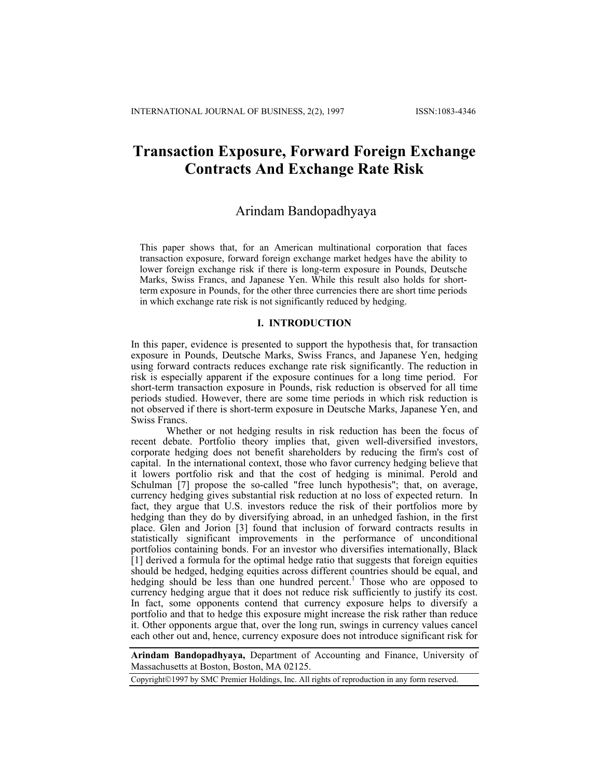# **Transaction Exposure, Forward Foreign Exchange Contracts And Exchange Rate Risk**

## Arindam Bandopadhyaya

This paper shows that, for an American multinational corporation that faces transaction exposure, forward foreign exchange market hedges have the ability to lower foreign exchange risk if there is long-term exposure in Pounds, Deutsche Marks, Swiss Francs, and Japanese Yen. While this result also holds for shortterm exposure in Pounds, for the other three currencies there are short time periods in which exchange rate risk is not significantly reduced by hedging.

## **I. INTRODUCTION**

In this paper, evidence is presented to support the hypothesis that, for transaction exposure in Pounds, Deutsche Marks, Swiss Francs, and Japanese Yen, hedging using forward contracts reduces exchange rate risk significantly. The reduction in risk is especially apparent if the exposure continues for a long time period. For short-term transaction exposure in Pounds, risk reduction is observed for all time periods studied. However, there are some time periods in which risk reduction is not observed if there is short-term exposure in Deutsche Marks, Japanese Yen, and Swiss Francs.

Whether or not hedging results in risk reduction has been the focus of recent debate. Portfolio theory implies that, given well-diversified investors, corporate hedging does not benefit shareholders by reducing the firm's cost of capital. In the international context, those who favor currency hedging believe that it lowers portfolio risk and that the cost of hedging is minimal. Perold and Schulman [7] propose the so-called "free lunch hypothesis"; that, on average, currency hedging gives substantial risk reduction at no loss of expected return. In fact, they argue that U.S. investors reduce the risk of their portfolios more by hedging than they do by diversifying abroad, in an unhedged fashion, in the first place. Glen and Jorion [3] found that inclusion of forward contracts results in statistically significant improvements in the performance of unconditional portfolios containing bonds. For an investor who diversifies internationally, Black [1] derived a formula for the optimal hedge ratio that suggests that foreign equities should be hedged, hedging equities across different countries should be equal, and hedging should be less than one hundred percent.<sup>1</sup> Those who are opposed to currency hedging argue that it does not reduce risk sufficiently to justify its cost. In fact, some opponents contend that currency exposure helps to diversify a portfolio and that to hedge this exposure might increase the risk rather than reduce it. Other opponents argue that, over the long run, swings in currency values cancel each other out and, hence, currency exposure does not introduce significant risk for

**Arindam Bandopadhyaya,** Department of Accounting and Finance, University of Massachusetts at Boston, Boston, MA 02125.

Copyright©1997 by SMC Premier Holdings, Inc. All rights of reproduction in any form reserved.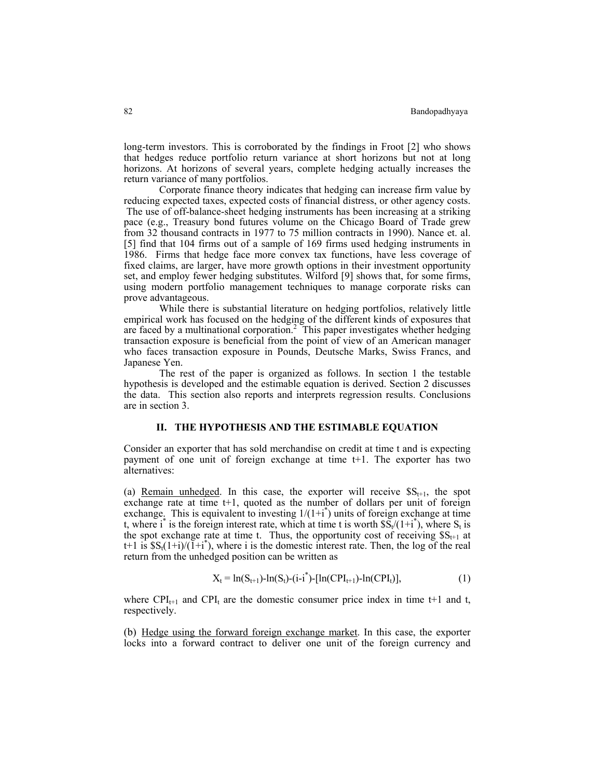long-term investors. This is corroborated by the findings in Froot [2] who shows that hedges reduce portfolio return variance at short horizons but not at long horizons. At horizons of several years, complete hedging actually increases the return variance of many portfolios.

Corporate finance theory indicates that hedging can increase firm value by reducing expected taxes, expected costs of financial distress, or other agency costs. The use of off-balance-sheet hedging instruments has been increasing at a striking pace (e.g., Treasury bond futures volume on the Chicago Board of Trade grew from 32 thousand contracts in 1977 to 75 million contracts in 1990). Nance et. al. [5] find that 104 firms out of a sample of 169 firms used hedging instruments in 1986. Firms that hedge face more convex tax functions, have less coverage of fixed claims, are larger, have more growth options in their investment opportunity set, and employ fewer hedging substitutes. Wilford [9] shows that, for some firms, using modern portfolio management techniques to manage corporate risks can prove advantageous.

 While there is substantial literature on hedging portfolios, relatively little empirical work has focused on the hedging of the different kinds of exposures that are faced by a multinational corporation.<sup>2</sup> This paper investigates whether hedging transaction exposure is beneficial from the point of view of an American manager who faces transaction exposure in Pounds, Deutsche Marks, Swiss Francs, and Japanese Yen.

The rest of the paper is organized as follows. In section 1 the testable hypothesis is developed and the estimable equation is derived. Section 2 discusses the data. This section also reports and interprets regression results. Conclusions are in section 3.

## **II. THE HYPOTHESIS AND THE ESTIMABLE EQUATION**

Consider an exporter that has sold merchandise on credit at time t and is expecting payment of one unit of foreign exchange at time t+1. The exporter has two alternatives:

(a) Remain unhedged. In this case, the exporter will receive  $SS_{t+1}$ , the spot exchange rate at time  $t+1$ , quoted as the number of dollars per unit of foreign exchange. This is equivalent to investing  $1/(1+i^*)$  units of foreign exchange at time t, where i<sup>\*</sup> is the foreign interest rate, which at time t is worth  $\tilde{SS}_t/(1+i^*)$ , where  $S_t$  is the spot exchange rate at time t. Thus, the opportunity cost of receiving  $SS_{t+1}$  at t+1 is  $SS_t(1+i)/(1+i^*)$ , where i is the domestic interest rate. Then, the log of the real return from the unhedged position can be written as

$$
X_t = \ln(S_{t+1}) - \ln(S_t) - (i - i^*) - [\ln(CPI_{t+1}) - \ln(CPI_t)], \qquad (1)
$$

where  $CPI_{t+1}$  and  $CPI_t$  are the domestic consumer price index in time t+1 and t, respectively.

(b) Hedge using the forward foreign exchange market. In this case, the exporter locks into a forward contract to deliver one unit of the foreign currency and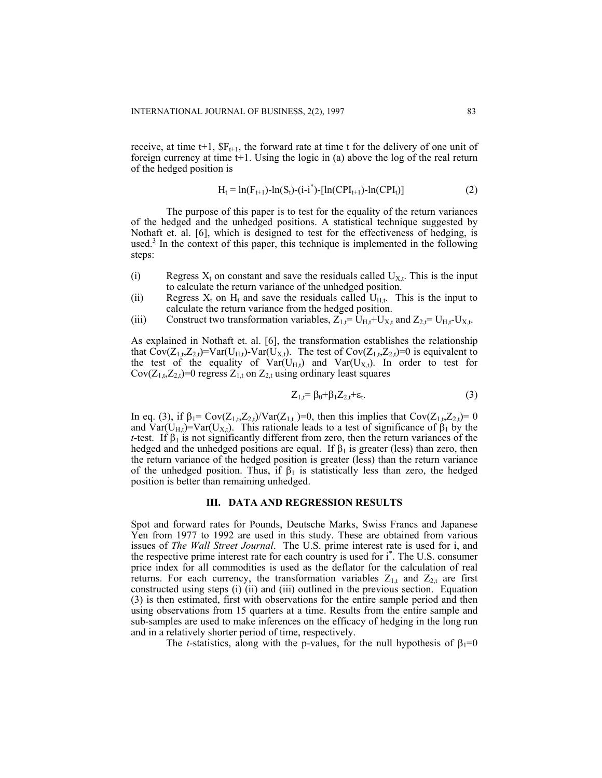receive, at time t+1,  $SF_{t+1}$ , the forward rate at time t for the delivery of one unit of foreign currency at time  $t+1$ . Using the logic in (a) above the log of the real return of the hedged position is

$$
H_t = ln(F_{t+1}) - ln(S_t) - (i-i^*) - [ln(CPI_{t+1}) - ln(CPI_t)]
$$
\n(2)

The purpose of this paper is to test for the equality of the return variances of the hedged and the unhedged positions. A statistical technique suggested by Nothaft et. al. [6], which is designed to test for the effectiveness of hedging, is used.<sup>3</sup> In the context of this paper, this technique is implemented in the following steps:

- (i) Regress  $X_t$  on constant and save the residuals called  $U_{X_t}$ . This is the input to calculate the return variance of the unhedged position.
- (ii) Regress  $X_t$  on  $H_t$  and save the residuals called  $U_{H,t}$ . This is the input to calculate the return variance from the hedged position.
- (iii) Construct two transformation variables,  $Z_{1,t} = U_{H,t}+U_{X,t}$  and  $Z_{2,t} = U_{H,t}U_{X,t}$ .

As explained in Nothaft et. al. [6], the transformation establishes the relationship that  $Cov(Z_{1,t},Z_{2,t})=Var(U_{H,t})-Var(U_{X,t})$ . The test of  $Cov(Z_{1,t},Z_{2,t})=0$  is equivalent to the test of the equality of  $Var(U_{H,t})$  and  $Var(U_{X,t})$ . In order to test for  $Cov(Z_{1,t},Z_{2,t})=0$  regress  $Z_{1,t}$  on  $Z_{2,t}$  using ordinary least squares

$$
Z_{1,t} = \beta_0 + \beta_1 Z_{2,t} + \varepsilon_t. \tag{3}
$$

In eq. (3), if  $β_1 = Cov(Z_{1,t}, Z_{2,t})/Var(Z_{1,t}) = 0$ , then this implies that  $Cov(Z_{1,t}, Z_{2,t}) = 0$ and  $Var(U_{H,t})=Var(U_{X,t})$ . This rationale leads to a test of significance of  $\beta_1$  by the *t*-test. If  $\beta_1$  is not significantly different from zero, then the return variances of the hedged and the unhedged positions are equal. If  $\beta_1$  is greater (less) than zero, then the return variance of the hedged position is greater (less) than the return variance of the unhedged position. Thus, if  $\beta_1$  is statistically less than zero, the hedged position is better than remaining unhedged.

### **III. DATA AND REGRESSION RESULTS**

Spot and forward rates for Pounds, Deutsche Marks, Swiss Francs and Japanese Yen from 1977 to 1992 are used in this study. These are obtained from various issues of *The Wall Street Journal*. The U.S. prime interest rate is used for i, and the respective prime interest rate for each country is used for i\* . The U.S. consumer price index for all commodities is used as the deflator for the calculation of real returns. For each currency, the transformation variables  $Z_{1,t}$  and  $Z_{2,t}$  are first constructed using steps (i) (ii) and (iii) outlined in the previous section. Equation (3) is then estimated, first with observations for the entire sample period and then using observations from 15 quarters at a time. Results from the entire sample and sub-samples are used to make inferences on the efficacy of hedging in the long run and in a relatively shorter period of time, respectively.

The *t*-statistics, along with the p-values, for the null hypothesis of  $\beta_1=0$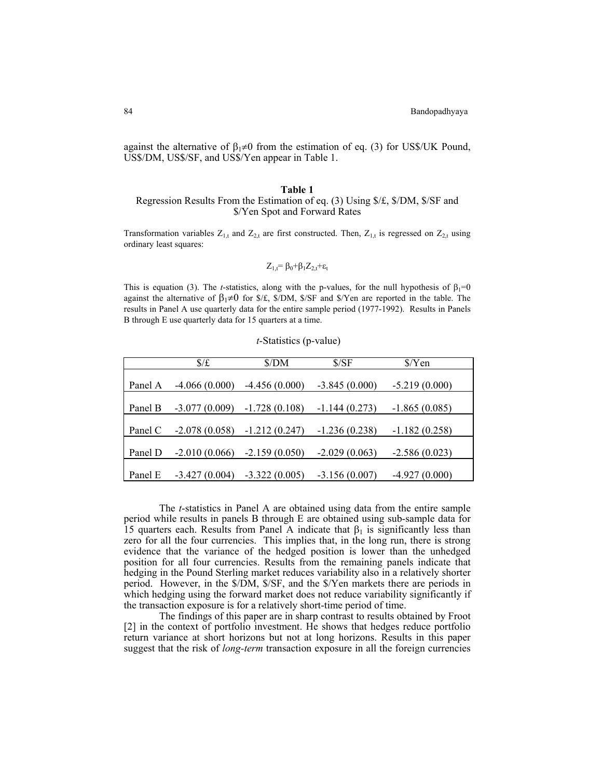against the alternative of  $\beta_1 \neq 0$  from the estimation of eq. (3) for US\$/UK Pound, US\$/DM, US\$/SF, and US\$/Yen appear in Table 1.

#### **Table 1**

## Regression Results From the Estimation of eq. (3) Using \$/£, \$/DM, \$/SF and \$/Yen Spot and Forward Rates

Transformation variables  $Z_{1,t}$  and  $Z_{2,t}$  are first constructed. Then,  $Z_{1,t}$  is regressed on  $Z_{2,t}$  using ordinary least squares:

$$
Z_{1,t} = \beta_0 + \beta_1 Z_{2,t} + \epsilon_t
$$

This is equation (3). The *t*-statistics, along with the p-values, for the null hypothesis of  $\beta_1=0$ against the alternative of  $\beta_1 \neq 0$  for \$/£, \$/DM, \$/SF and \$/Yen are reported in the table. The results in Panel A use quarterly data for the entire sample period (1977-1992). Results in Panels B through E use quarterly data for 15 quarters at a time.

*t*-Statistics (p-value)

|         | $\frac{f}{f}$   | \$/DM           | S/SF            | $\frac{\sqrt{2}}{2}$ |
|---------|-----------------|-----------------|-----------------|----------------------|
| Panel A | $-4.066(0.000)$ | $-4.456(0.000)$ | $-3.845(0.000)$ | $-5.219(0.000)$      |
|         |                 |                 |                 |                      |
| Panel B | $-3.077(0.009)$ | $-1.728(0.108)$ | $-1.144(0.273)$ | $-1.865(0.085)$      |
| Panel C | $-2.078(0.058)$ | $-1.212(0.247)$ | $-1.236(0.238)$ | $-1.182(0.258)$      |
| Panel D | $-2.010(0.066)$ | $-2.159(0.050)$ | $-2.029(0.063)$ | $-2.586(0.023)$      |
| Panel E | $-3.427(0.004)$ | $-3.322(0.005)$ | $-3.156(0.007)$ | $-4.927(0.000)$      |

 The *t*-statistics in Panel A are obtained using data from the entire sample period while results in panels B through E are obtained using sub-sample data for 15 quarters each. Results from Panel A indicate that  $\beta_1$  is significantly less than zero for all the four currencies. This implies that, in the long run, there is strong evidence that the variance of the hedged position is lower than the unhedged position for all four currencies. Results from the remaining panels indicate that hedging in the Pound Sterling market reduces variability also in a relatively shorter period. However, in the \$/DM, \$/SF, and the \$/Yen markets there are periods in which hedging using the forward market does not reduce variability significantly if the transaction exposure is for a relatively short-time period of time.

The findings of this paper are in sharp contrast to results obtained by Froot [2] in the context of portfolio investment. He shows that hedges reduce portfolio return variance at short horizons but not at long horizons. Results in this paper suggest that the risk of *long-term* transaction exposure in all the foreign currencies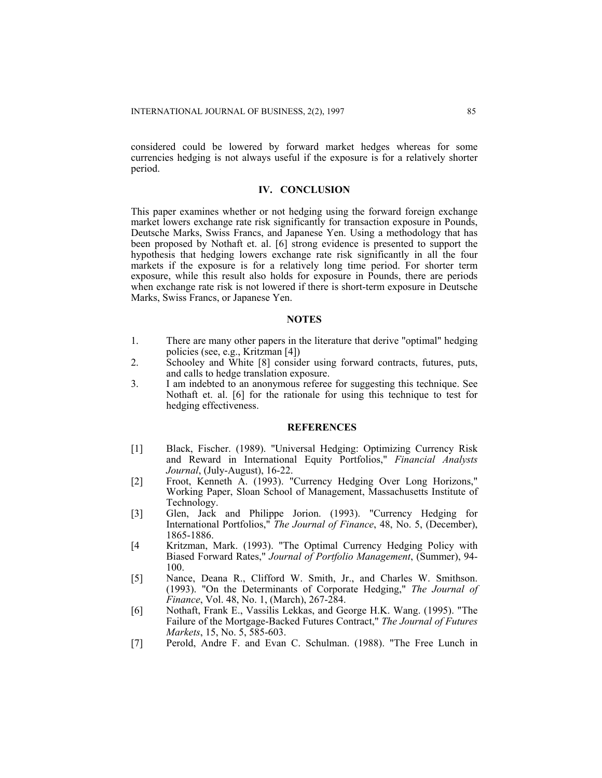considered could be lowered by forward market hedges whereas for some currencies hedging is not always useful if the exposure is for a relatively shorter period.

## **IV. CONCLUSION**

This paper examines whether or not hedging using the forward foreign exchange market lowers exchange rate risk significantly for transaction exposure in Pounds, Deutsche Marks, Swiss Francs, and Japanese Yen. Using a methodology that has been proposed by Nothaft et. al. [6] strong evidence is presented to support the hypothesis that hedging lowers exchange rate risk significantly in all the four markets if the exposure is for a relatively long time period. For shorter term exposure, while this result also holds for exposure in Pounds, there are periods when exchange rate risk is not lowered if there is short-term exposure in Deutsche Marks, Swiss Francs, or Japanese Yen.

## **NOTES**

- 1. There are many other papers in the literature that derive "optimal" hedging policies (see, e.g., Kritzman [4])
- 2. Schooley and White [8] consider using forward contracts, futures, puts, and calls to hedge translation exposure.
- 3. I am indebted to an anonymous referee for suggesting this technique. See Nothaft et. al. [6] for the rationale for using this technique to test for hedging effectiveness.

## **REFERENCES**

- [1] Black, Fischer. (1989). "Universal Hedging: Optimizing Currency Risk and Reward in International Equity Portfolios," *Financial Analysts Journal*, (July-August), 16-22.
- [2] Froot, Kenneth A. (1993). "Currency Hedging Over Long Horizons," Working Paper, Sloan School of Management, Massachusetts Institute of Technology.
- [3] Glen, Jack and Philippe Jorion. (1993). "Currency Hedging for International Portfolios," *The Journal of Finance*, 48, No. 5, (December), 1865-1886.
- [4 Kritzman, Mark. (1993). "The Optimal Currency Hedging Policy with Biased Forward Rates," *Journal of Portfolio Management*, (Summer), 94- 100.
- [5] Nance, Deana R., Clifford W. Smith, Jr., and Charles W. Smithson. (1993). "On the Determinants of Corporate Hedging," *The Journal of Finance*, Vol. 48, No. 1, (March), 267-284.
- [6] Nothaft, Frank E., Vassilis Lekkas, and George H.K. Wang. (1995). "The Failure of the Mortgage-Backed Futures Contract," *The Journal of Futures Markets*, 15, No. 5, 585-603.
- [7] Perold, Andre F. and Evan C. Schulman. (1988). "The Free Lunch in